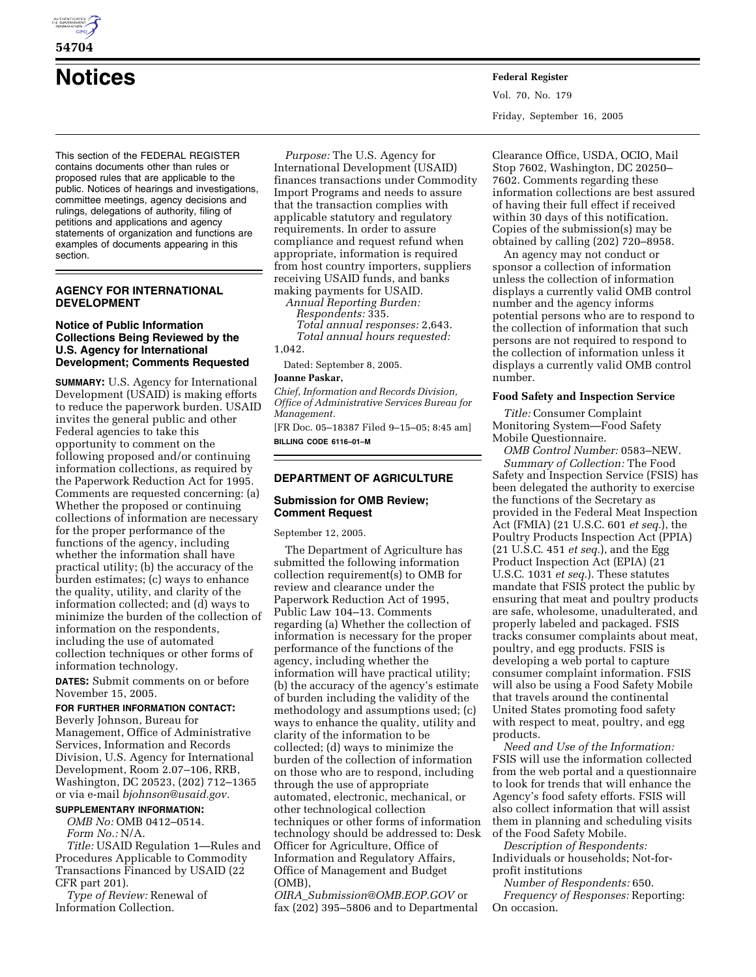

# **54704**

# **Notices Federal Register**

This section of the FEDERAL REGISTER contains documents other than rules or proposed rules that are applicable to the public. Notices of hearings and investigations, committee meetings, agency decisions and rulings, delegations of authority, filing of petitions and applications and agency statements of organization and functions are examples of documents appearing in this section.

# **AGENCY FOR INTERNATIONAL DEVELOPMENT**

# **Notice of Public Information Collections Being Reviewed by the U.S. Agency for International Development; Comments Requested**

**SUMMARY:** U.S. Agency for International Development (USAID) is making efforts to reduce the paperwork burden. USAID invites the general public and other Federal agencies to take this opportunity to comment on the following proposed and/or continuing information collections, as required by the Paperwork Reduction Act for 1995. Comments are requested concerning: (a) Whether the proposed or continuing collections of information are necessary for the proper performance of the functions of the agency, including whether the information shall have practical utility; (b) the accuracy of the burden estimates; (c) ways to enhance the quality, utility, and clarity of the information collected; and (d) ways to minimize the burden of the collection of information on the respondents, including the use of automated collection techniques or other forms of information technology.

**DATES:** Submit comments on or before November 15, 2005.

# **FOR FURTHER INFORMATION CONTACT:**

Beverly Johnson, Bureau for Management, Office of Administrative Services, Information and Records Division, U.S. Agency for International Development, Room 2.07–106, RRB, Washington, DC 20523, (202) 712–1365 or via e-mail *bjohnson@usaid.gov.* 

# **SUPPLEMENTARY INFORMATION:**

*OMB No:* OMB 0412–0514. *Form No.:* N/A.

*Title:* USAID Regulation 1—Rules and Procedures Applicable to Commodity Transactions Financed by USAID (22 CFR part 201).

*Type of Review:* Renewal of Information Collection.

*Purpose:* The U.S. Agency for International Development (USAID) finances transactions under Commodity Import Programs and needs to assure that the transaction complies with applicable statutory and regulatory requirements. In order to assure compliance and request refund when appropriate, information is required from host country importers, suppliers receiving USAID funds, and banks making payments for USAID.

*Annual Reporting Burden: Respondents:* 335. *Total annual responses:* 2,643. *Total annual hours requested:*  1,042.

Dated: September 8, 2005.

#### **Joanne Paskar,**

*Chief, Information and Records Division, Office of Administrative Services Bureau for Management.* 

[FR Doc. 05–18387 Filed 9–15–05; 8:45 am] **BILLING CODE 6116–01–M** 

### **DEPARTMENT OF AGRICULTURE**

# **Submission for OMB Review; Comment Request**

September 12, 2005.

The Department of Agriculture has submitted the following information collection requirement(s) to OMB for review and clearance under the Paperwork Reduction Act of 1995, Public Law 104–13. Comments regarding (a) Whether the collection of information is necessary for the proper performance of the functions of the agency, including whether the information will have practical utility; (b) the accuracy of the agency's estimate of burden including the validity of the methodology and assumptions used; (c) ways to enhance the quality, utility and clarity of the information to be collected; (d) ways to minimize the burden of the collection of information on those who are to respond, including through the use of appropriate automated, electronic, mechanical, or other technological collection techniques or other forms of information technology should be addressed to: Desk Officer for Agriculture, Office of Information and Regulatory Affairs, Office of Management and Budget (OMB),

*OIRA*\_*Submission@OMB.EOP.GOV* or fax (202) 395–5806 and to Departmental Vol. 70, No. 179 Friday, September 16, 2005

Clearance Office, USDA, OCIO, Mail Stop 7602, Washington, DC 20250– 7602. Comments regarding these information collections are best assured of having their full effect if received within 30 days of this notification. Copies of the submission(s) may be obtained by calling (202) 720–8958.

An agency may not conduct or sponsor a collection of information unless the collection of information displays a currently valid OMB control number and the agency informs potential persons who are to respond to the collection of information that such persons are not required to respond to the collection of information unless it displays a currently valid OMB control number.

#### **Food Safety and Inspection Service**

*Title:* Consumer Complaint Monitoring System—Food Safety Mobile Questionnaire.

*OMB Control Number:* 0583–NEW. *Summary of Collection:* The Food Safety and Inspection Service (FSIS) has been delegated the authority to exercise the functions of the Secretary as provided in the Federal Meat Inspection Act (FMIA) (21 U.S.C. 601 *et seq.*), the Poultry Products Inspection Act (PPIA) (21 U.S.C. 451 *et seq.*), and the Egg Product Inspection Act (EPIA) (21 U.S.C. 1031 *et seq.*). These statutes mandate that FSIS protect the public by ensuring that meat and poultry products are safe, wholesome, unadulterated, and properly labeled and packaged. FSIS tracks consumer complaints about meat, poultry, and egg products. FSIS is developing a web portal to capture consumer complaint information. FSIS will also be using a Food Safety Mobile that travels around the continental United States promoting food safety with respect to meat, poultry, and egg products.

*Need and Use of the Information:*  FSIS will use the information collected from the web portal and a questionnaire to look for trends that will enhance the Agency's food safety efforts. FSIS will also collect information that will assist them in planning and scheduling visits of the Food Safety Mobile.

*Description of Respondents:*  Individuals or households; Not-forprofit institutions

*Number of Respondents:* 650. *Frequency of Responses:* Reporting: On occasion.